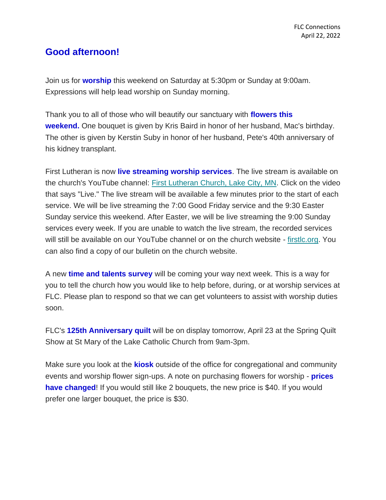## **Good afternoon!**

Join us for **worship** this weekend on Saturday at 5:30pm or Sunday at 9:00am. Expressions will help lead worship on Sunday morning.

Thank you to all of those who will beautify our sanctuary with **flowers this weekend.** One bouquet is given by Kris Baird in honor of her husband, Mac's birthday. The other is given by Kerstin Suby in honor of her husband, Pete's 40th anniversary of his kidney transplant.

First Lutheran is now **live streaming worship services**. The live stream is available on the church's YouTube channel: [First Lutheran Church, Lake City, MN.](https://www.youtube.com/channel/UC9XdNg_hQSX1DHMunNI8WQw) Click on the video that says "Live." The live stream will be available a few minutes prior to the start of each service. We will be live streaming the 7:00 Good Friday service and the 9:30 Easter Sunday service this weekend. After Easter, we will be live streaming the 9:00 Sunday services every week. If you are unable to watch the live stream, the recorded services will still be available on our YouTube channel or on the church website - [firstlc.org.](https://firstlc.org/) You can also find a copy of our bulletin on the church website.

A new **time and talents survey** will be coming your way next week. This is a way for you to tell the church how you would like to help before, during, or at worship services at FLC. Please plan to respond so that we can get volunteers to assist with worship duties soon.

FLC's **125th Anniversary quilt** will be on display tomorrow, April 23 at the Spring Quilt Show at St Mary of the Lake Catholic Church from 9am-3pm.

Make sure you look at the **kiosk** outside of the office for congregational and community events and worship flower sign-ups. A note on purchasing flowers for worship - **prices have changed!** If you would still like 2 bouquets, the new price is \$40. If you would prefer one larger bouquet, the price is \$30.